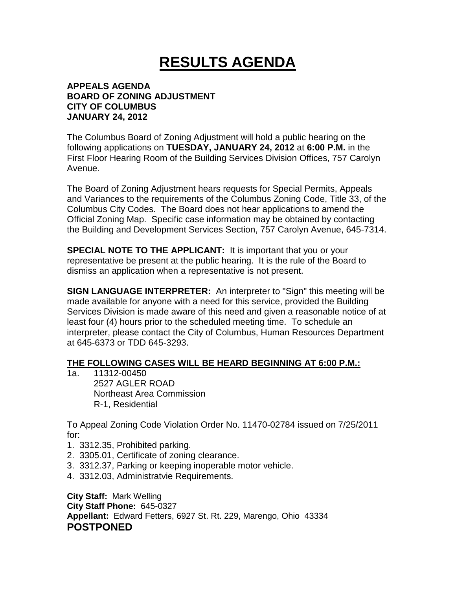## **RESULTS AGENDA**

## **APPEALS AGENDA BOARD OF ZONING ADJUSTMENT CITY OF COLUMBUS JANUARY 24, 2012**

The Columbus Board of Zoning Adjustment will hold a public hearing on the following applications on **TUESDAY, JANUARY 24, 2012** at **6:00 P.M.** in the First Floor Hearing Room of the Building Services Division Offices, 757 Carolyn Avenue.

The Board of Zoning Adjustment hears requests for Special Permits, Appeals and Variances to the requirements of the Columbus Zoning Code, Title 33, of the Columbus City Codes. The Board does not hear applications to amend the Official Zoning Map. Specific case information may be obtained by contacting the Building and Development Services Section, 757 Carolyn Avenue, 645-7314.

**SPECIAL NOTE TO THE APPLICANT:** It is important that you or your representative be present at the public hearing. It is the rule of the Board to dismiss an application when a representative is not present.

**SIGN LANGUAGE INTERPRETER:** An interpreter to "Sign" this meeting will be made available for anyone with a need for this service, provided the Building Services Division is made aware of this need and given a reasonable notice of at least four (4) hours prior to the scheduled meeting time. To schedule an interpreter, please contact the City of Columbus, Human Resources Department at 645-6373 or TDD 645-3293.

## **THE FOLLOWING CASES WILL BE HEARD BEGINNING AT 6:00 P.M.:**

1a. 11312-00450 2527 AGLER ROAD Northeast Area Commission R-1, Residential

To Appeal Zoning Code Violation Order No. 11470-02784 issued on 7/25/2011 for:

- 1. 3312.35, Prohibited parking.
- 2. 3305.01, Certificate of zoning clearance.
- 3. 3312.37, Parking or keeping inoperable motor vehicle.
- 4. 3312.03, Administratvie Requirements.

**City Staff:** Mark Welling **City Staff Phone:** 645-0327 **Appellant:** Edward Fetters, 6927 St. Rt. 229, Marengo, Ohio 43334 **POSTPONED**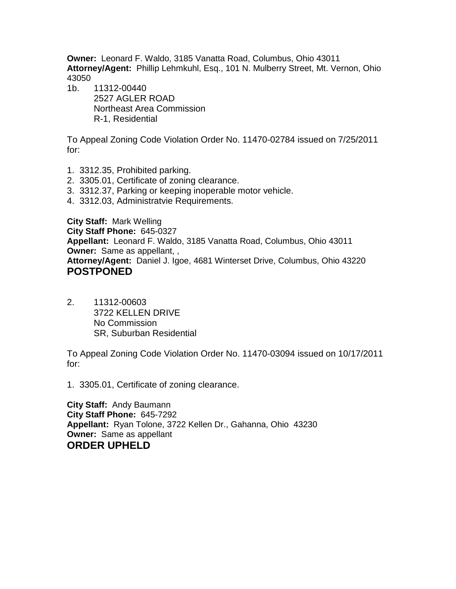**Owner:** Leonard F. Waldo, 3185 Vanatta Road, Columbus, Ohio 43011 **Attorney/Agent:** Phillip Lehmkuhl, Esq., 101 N. Mulberry Street, Mt. Vernon, Ohio 43050

1b. 11312-00440 2527 AGLER ROAD Northeast Area Commission R-1, Residential

To Appeal Zoning Code Violation Order No. 11470-02784 issued on 7/25/2011 for:

- 1. 3312.35, Prohibited parking.
- 2. 3305.01, Certificate of zoning clearance.
- 3. 3312.37, Parking or keeping inoperable motor vehicle.
- 4. 3312.03, Administratvie Requirements.

**City Staff:** Mark Welling **City Staff Phone:** 645-0327 **Appellant:** Leonard F. Waldo, 3185 Vanatta Road, Columbus, Ohio 43011 **Owner:** Same as appellant, , **Attorney/Agent:** Daniel J. Igoe, 4681 Winterset Drive, Columbus, Ohio 43220 **POSTPONED** 

2. 11312-00603 3722 KELLEN DRIVE No Commission SR, Suburban Residential

To Appeal Zoning Code Violation Order No. 11470-03094 issued on 10/17/2011 for:

1. 3305.01, Certificate of zoning clearance.

**City Staff:** Andy Baumann **City Staff Phone:** 645-7292 **Appellant:** Ryan Tolone, 3722 Kellen Dr., Gahanna, Ohio 43230 **Owner:** Same as appellant **ORDER UPHELD**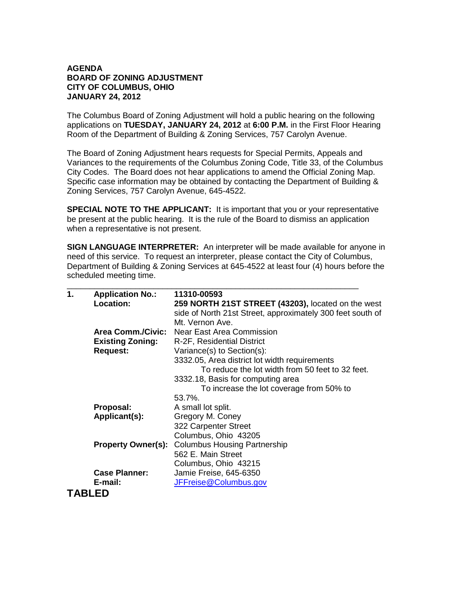## **AGENDA BOARD OF ZONING ADJUSTMENT CITY OF COLUMBUS, OHIO JANUARY 24, 2012**

The Columbus Board of Zoning Adjustment will hold a public hearing on the following applications on **TUESDAY, JANUARY 24, 2012** at **6:00 P.M.** in the First Floor Hearing Room of the Department of Building & Zoning Services, 757 Carolyn Avenue.

The Board of Zoning Adjustment hears requests for Special Permits, Appeals and Variances to the requirements of the Columbus Zoning Code, Title 33, of the Columbus City Codes. The Board does not hear applications to amend the Official Zoning Map. Specific case information may be obtained by contacting the Department of Building & Zoning Services, 757 Carolyn Avenue, 645-4522.

**SPECIAL NOTE TO THE APPLICANT:** It is important that you or your representative be present at the public hearing. It is the rule of the Board to dismiss an application when a representative is not present.

**SIGN LANGUAGE INTERPRETER:** An interpreter will be made available for anyone in need of this service. To request an interpreter, please contact the City of Columbus, Department of Building & Zoning Services at 645-4522 at least four (4) hours before the scheduled meeting time.

| $\mathbf 1$ . | <b>Application No.:</b>   | 11310-00593                                                |
|---------------|---------------------------|------------------------------------------------------------|
|               | <b>Location:</b>          | 259 NORTH 21ST STREET (43203), located on the west         |
|               |                           | side of North 21st Street, approximately 300 feet south of |
|               |                           | Mt. Vernon Ave.                                            |
|               |                           | Area Comm./Civic: Near East Area Commission                |
|               | <b>Existing Zoning:</b>   | R-2F, Residential District                                 |
|               | <b>Request:</b>           | Variance(s) to Section(s):                                 |
|               |                           | 3332.05, Area district lot width requirements              |
|               |                           | To reduce the lot width from 50 feet to 32 feet.           |
|               |                           | 3332.18, Basis for computing area                          |
|               |                           | To increase the lot coverage from 50% to                   |
|               |                           | 53.7%.                                                     |
|               | Proposal:                 | A small lot split.                                         |
|               | Applicant(s):             | Gregory M. Coney                                           |
|               |                           | 322 Carpenter Street                                       |
|               |                           | Columbus, Ohio 43205                                       |
|               | <b>Property Owner(s):</b> | <b>Columbus Housing Partnership</b>                        |
|               |                           | 562 E. Main Street                                         |
|               |                           | Columbus, Ohio 43215                                       |
|               | <b>Case Planner:</b>      | Jamie Freise, 645-6350                                     |
|               | E-mail:                   | JFFreise@Columbus.gov                                      |
|               | <b>ABLED</b>              |                                                            |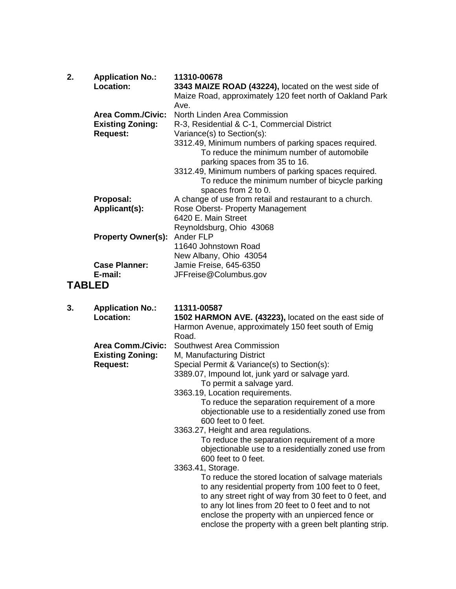| 2. | <b>Application No.:</b><br>Location: | 11310-00678<br>3343 MAIZE ROAD (43224), located on the west side of<br>Maize Road, approximately 120 feet north of Oakland Park<br>Ave. |
|----|--------------------------------------|-----------------------------------------------------------------------------------------------------------------------------------------|
|    | <b>Area Comm./Civic:</b>             | North Linden Area Commission                                                                                                            |
|    | <b>Existing Zoning:</b>              | R-3, Residential & C-1, Commercial District                                                                                             |
|    | <b>Request:</b>                      | Variance(s) to Section(s):                                                                                                              |
|    |                                      | 3312.49, Minimum numbers of parking spaces required.<br>To reduce the minimum number of automobile<br>parking spaces from 35 to 16.     |
|    |                                      | 3312.49, Minimum numbers of parking spaces required.<br>To reduce the minimum number of bicycle parking<br>spaces from 2 to 0.          |
|    | Proposal:                            | A change of use from retail and restaurant to a church.                                                                                 |
|    | Applicant(s):                        | Rose Oberst- Property Management                                                                                                        |
|    |                                      | 6420 E. Main Street                                                                                                                     |
|    |                                      | Reynoldsburg, Ohio 43068                                                                                                                |
|    | <b>Property Owner(s):</b>            | Ander FLP                                                                                                                               |
|    |                                      | 11640 Johnstown Road                                                                                                                    |
|    |                                      | New Albany, Ohio 43054                                                                                                                  |
|    | <b>Case Planner:</b>                 | Jamie Freise, 645-6350                                                                                                                  |
|    | E-mail:                              | JFFreise@Columbus.gov                                                                                                                   |
|    | <b>TABLED</b>                        |                                                                                                                                         |
| 3. | <b>Application No.:</b>              | 11311-00587                                                                                                                             |
|    | Location:                            | 1502 HARMON AVE. (43223), located on the east side of<br>Harmon Avenue, approximately 150 feet south of Emig<br>Road.                   |

 **Area Comm./Civic:** Southwest Area Commission

**Existing Zoning:** M, Manufacturing District<br>Request: Special Permit & Variance

Special Permit & Variance(s) to Section(s):

3389.07, Impound lot, junk yard or salvage yard. To permit a salvage yard.

3363.19, Location requirements.

To reduce the separation requirement of a more objectionable use to a residentially zoned use from 600 feet to 0 feet.

3363.27, Height and area regulations.

To reduce the separation requirement of a more objectionable use to a residentially zoned use from 600 feet to 0 feet.

3363.41, Storage.

To reduce the stored location of salvage materials to any residential property from 100 feet to 0 feet, to any street right of way from 30 feet to 0 feet, and to any lot lines from 20 feet to 0 feet and to not enclose the property with an unpierced fence or enclose the property with a green belt planting strip.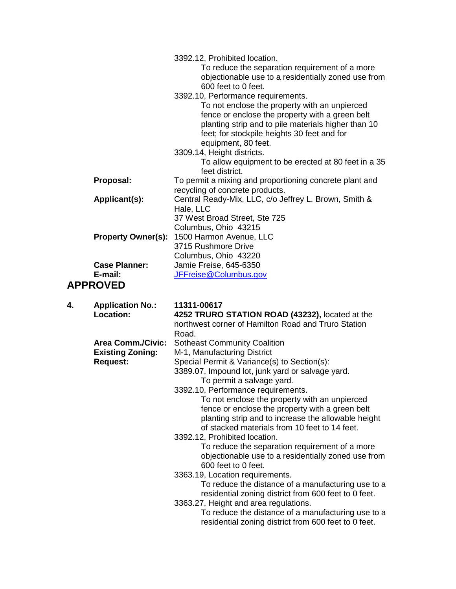|                            |                                                                        | 3392.12, Prohibited location.<br>To reduce the separation requirement of a more<br>objectionable use to a residentially zoned use from<br>600 feet to 0 feet.<br>3392.10, Performance requirements.<br>To not enclose the property with an unpierced<br>fence or enclose the property with a green belt<br>planting strip and to pile materials higher than 10<br>feet; for stockpile heights 30 feet and for<br>equipment, 80 feet.<br>3309.14, Height districts.<br>To allow equipment to be erected at 80 feet in a 35<br>feet district.                                                                                                                                                                    |
|----------------------------|------------------------------------------------------------------------|----------------------------------------------------------------------------------------------------------------------------------------------------------------------------------------------------------------------------------------------------------------------------------------------------------------------------------------------------------------------------------------------------------------------------------------------------------------------------------------------------------------------------------------------------------------------------------------------------------------------------------------------------------------------------------------------------------------|
|                            | Proposal:                                                              | To permit a mixing and proportioning concrete plant and<br>recycling of concrete products.                                                                                                                                                                                                                                                                                                                                                                                                                                                                                                                                                                                                                     |
|                            | Applicant(s):                                                          | Central Ready-Mix, LLC, c/o Jeffrey L. Brown, Smith &<br>Hale, LLC<br>37 West Broad Street, Ste 725                                                                                                                                                                                                                                                                                                                                                                                                                                                                                                                                                                                                            |
|                            | <b>Property Owner(s):</b>                                              | Columbus, Ohio 43215<br>1500 Harmon Avenue, LLC<br>3715 Rushmore Drive<br>Columbus, Ohio 43220                                                                                                                                                                                                                                                                                                                                                                                                                                                                                                                                                                                                                 |
|                            | <b>Case Planner:</b>                                                   | Jamie Freise, 645-6350                                                                                                                                                                                                                                                                                                                                                                                                                                                                                                                                                                                                                                                                                         |
| E-mail:<br><b>APPROVED</b> |                                                                        | JFFreise@Columbus.gov                                                                                                                                                                                                                                                                                                                                                                                                                                                                                                                                                                                                                                                                                          |
| 4.                         | <b>Application No.:</b><br><b>Location:</b>                            | 11311-00617<br>4252 TRURO STATION ROAD (43232), located at the<br>northwest corner of Hamilton Road and Truro Station<br>Road.                                                                                                                                                                                                                                                                                                                                                                                                                                                                                                                                                                                 |
|                            | <b>Area Comm./Civic:</b><br><b>Existing Zoning:</b><br><b>Request:</b> | <b>Sotheast Community Coalition</b><br>M-1, Manufacturing District<br>Special Permit & Variance(s) to Section(s):<br>3389.07, Impound lot, junk yard or salvage yard.<br>To permit a salvage yard.<br>3392.10, Performance requirements.<br>To not enclose the property with an unpierced<br>fence or enclose the property with a green belt<br>planting strip and to increase the allowable height<br>of stacked materials from 10 feet to 14 feet.<br>3392.12, Prohibited location.<br>To reduce the separation requirement of a more<br>objectionable use to a residentially zoned use from<br>600 feet to 0 feet.<br>3363.19, Location requirements.<br>To reduce the distance of a manufacturing use to a |

 3363.27, Height and area regulations. To reduce the distance of a manufacturing use to a residential zoning district from 600 feet to 0 feet.

residential zoning district from 600 feet to 0 feet.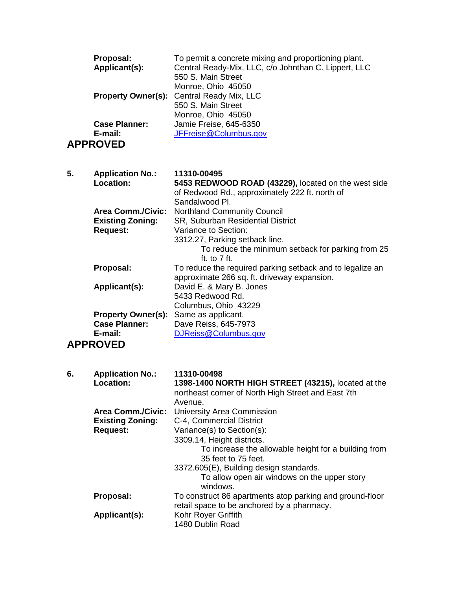|    | Proposal:<br>Applicant(s):<br><b>Property Owner(s):</b><br><b>Case Planner:</b><br>E-mail:<br><b>APPROVED</b> | To permit a concrete mixing and proportioning plant.<br>Central Ready-Mix, LLC, c/o Johnthan C. Lippert, LLC<br>550 S. Main Street<br>Monroe, Ohio 45050<br>Central Ready Mix, LLC<br>550 S. Main Street<br>Monroe, Ohio 45050<br>Jamie Freise, 645-6350<br>JFFreise@Columbus.gov |
|----|---------------------------------------------------------------------------------------------------------------|-----------------------------------------------------------------------------------------------------------------------------------------------------------------------------------------------------------------------------------------------------------------------------------|
| 5. | <b>Application No.:</b><br>Location:                                                                          | 11310-00495<br>5453 REDWOOD ROAD (43229), located on the west side                                                                                                                                                                                                                |
|    |                                                                                                               | of Redwood Rd., approximately 222 ft. north of<br>Sandalwood Pl.                                                                                                                                                                                                                  |
|    | <b>Area Comm./Civic:</b>                                                                                      | <b>Northland Community Council</b>                                                                                                                                                                                                                                                |
|    | <b>Existing Zoning:</b>                                                                                       | SR, Suburban Residential District                                                                                                                                                                                                                                                 |
|    | <b>Request:</b>                                                                                               | Variance to Section:<br>3312.27, Parking setback line.                                                                                                                                                                                                                            |
|    |                                                                                                               | To reduce the minimum setback for parking from 25                                                                                                                                                                                                                                 |
|    | Proposal:                                                                                                     | ft. to $7$ ft.<br>To reduce the required parking setback and to legalize an                                                                                                                                                                                                       |
|    |                                                                                                               | approximate 266 sq. ft. driveway expansion.                                                                                                                                                                                                                                       |
|    | Applicant(s):                                                                                                 | David E. & Mary B. Jones<br>5433 Redwood Rd.                                                                                                                                                                                                                                      |
|    |                                                                                                               | Columbus, Ohio 43229                                                                                                                                                                                                                                                              |
|    | <b>Property Owner(s):</b>                                                                                     | Same as applicant.                                                                                                                                                                                                                                                                |
|    | <b>Case Planner:</b><br>E-mail:                                                                               | Dave Reiss, 645-7973<br>DJReiss@Columbus.gov                                                                                                                                                                                                                                      |
|    | <b>APPROVED</b>                                                                                               |                                                                                                                                                                                                                                                                                   |
|    |                                                                                                               |                                                                                                                                                                                                                                                                                   |
| 6. | <b>Application No.:</b>                                                                                       | 11310-00498                                                                                                                                                                                                                                                                       |
|    | Location:                                                                                                     | 1398-1400 NORTH HIGH STREET (43215), located at the<br>northeast corner of North High Street and East 7th                                                                                                                                                                         |
|    |                                                                                                               | Avenue.                                                                                                                                                                                                                                                                           |
|    | <b>Area Comm./Civic:</b>                                                                                      | University Area Commission                                                                                                                                                                                                                                                        |
|    | <b>Existing Zoning:</b><br><b>Request:</b>                                                                    | C-4, Commercial District<br>Variance(s) to Section(s):                                                                                                                                                                                                                            |
|    |                                                                                                               | 3309.14, Height districts.                                                                                                                                                                                                                                                        |
|    |                                                                                                               | To increase the allowable height for a building from<br>35 feet to 75 feet.                                                                                                                                                                                                       |
|    |                                                                                                               | 3372.605(E), Building design standards.                                                                                                                                                                                                                                           |
|    |                                                                                                               | To allow open air windows on the upper story                                                                                                                                                                                                                                      |
|    | Proposal:                                                                                                     | windows.<br>To construct 86 apartments atop parking and ground-floor                                                                                                                                                                                                              |
|    |                                                                                                               | retail space to be anchored by a pharmacy.                                                                                                                                                                                                                                        |
|    | Applicant(s):                                                                                                 | Kohr Royer Griffith<br>1480 Dublin Road                                                                                                                                                                                                                                           |